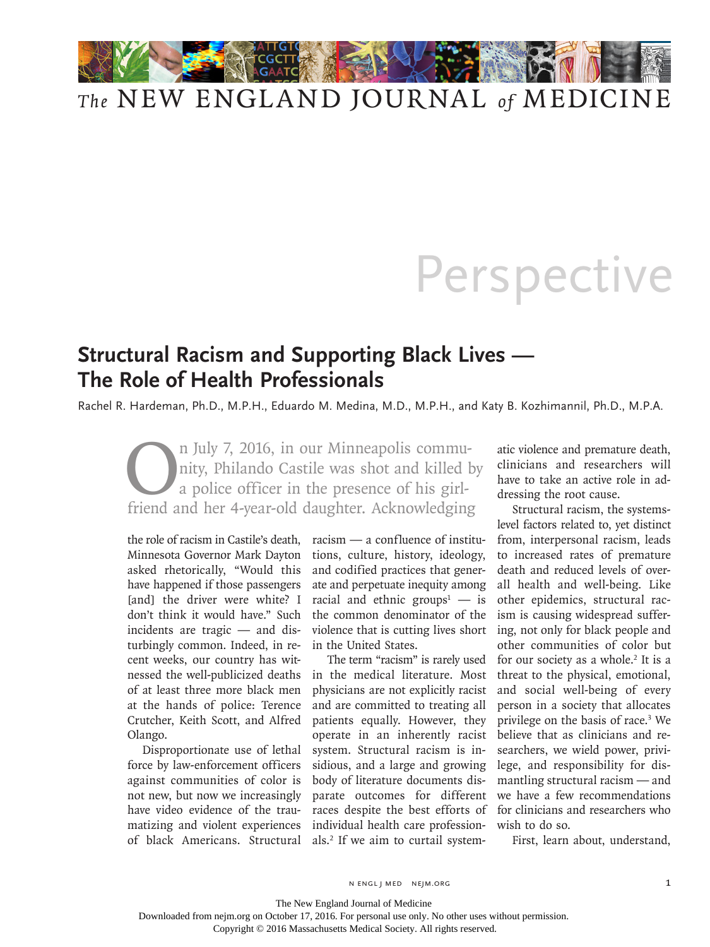

## *The* NEW ENGLAND JOURNAL *of* MEDICINE

## **Perspective**

## **Structural Racism and Supporting Black Lives — The Role of Health Professionals**

Rachel R. Hardeman, Ph.D., M.P.H., Eduardo M. Medina, M.D., M.P.H., and Katy B. Kozhimannil, Ph.D., M.P.A.

n July 7, 2016, in our Minneapolis community, Philando Castile was shot and killed by a police officer in the presence of his girl-<br>friend and her 4-vear-old daughter. Acknowledging nity, Philando Castile was shot and killed by a police officer in the presence of his girlfriend and her 4-year-old daughter. Acknowledging

the role of racism in Castile's death, Minnesota Governor Mark Dayton asked rhetorically, "Would this have happened if those passengers [and] the driver were white? I don't think it would have." Such incidents are tragic — and disturbingly common. Indeed, in recent weeks, our country has witnessed the well-publicized deaths of at least three more black men at the hands of police: Terence Crutcher, Keith Scott, and Alfred Olango.

Disproportionate use of lethal force by law-enforcement officers against communities of color is not new, but now we increasingly have video evidence of the traumatizing and violent experiences of black Americans. Structural

racism — a confluence of institutions, culture, history, ideology, and codified practices that generate and perpetuate inequity among racial and ethnic groups<sup>1</sup> — is the common denominator of the violence that is cutting lives short in the United States.

The term "racism" is rarely used in the medical literature. Most physicians are not explicitly racist and are committed to treating all patients equally. However, they operate in an inherently racist system. Structural racism is insidious, and a large and growing body of literature documents disparate outcomes for different races despite the best efforts of individual health care professionals.2 If we aim to curtail systematic violence and premature death, clinicians and researchers will have to take an active role in addressing the root cause.

Structural racism, the systemslevel factors related to, yet distinct from, interpersonal racism, leads to increased rates of premature death and reduced levels of overall health and well-being. Like other epidemics, structural racism is causing widespread suffering, not only for black people and other communities of color but for our society as a whole. $2$  It is a threat to the physical, emotional, and social well-being of every person in a society that allocates privilege on the basis of race.<sup>3</sup> We believe that as clinicians and researchers, we wield power, privilege, and responsibility for dismantling structural racism — and we have a few recommendations for clinicians and researchers who wish to do so.

First, learn about, understand,

n engl j med nejm.org 1

The New England Journal of Medicine

Downloaded from nejm.org on October 17, 2016. For personal use only. No other uses without permission.

Copyright © 2016 Massachusetts Medical Society. All rights reserved.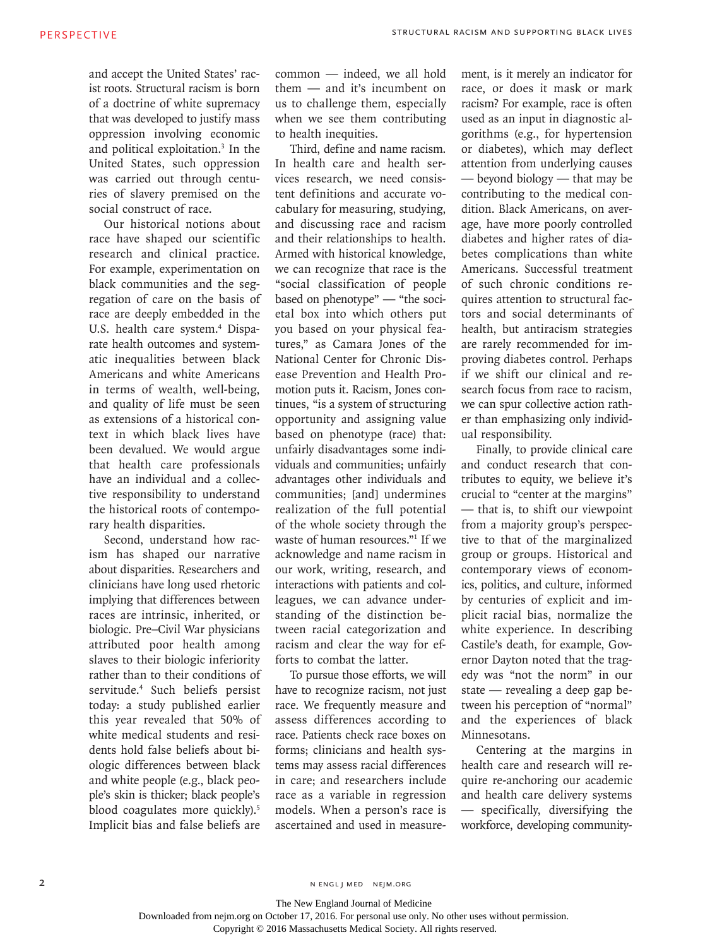and accept the United States' racist roots. Structural racism is born of a doctrine of white supremacy that was developed to justify mass oppression involving economic and political exploitation.3 In the United States, such oppression was carried out through centuries of slavery premised on the social construct of race.

Our historical notions about race have shaped our scientific research and clinical practice. For example, experimentation on black communities and the segregation of care on the basis of race are deeply embedded in the U.S. health care system.<sup>4</sup> Disparate health outcomes and systematic inequalities between black Americans and white Americans in terms of wealth, well-being, and quality of life must be seen as extensions of a historical context in which black lives have been devalued. We would argue that health care professionals have an individual and a collective responsibility to understand the historical roots of contemporary health disparities.

Second, understand how racism has shaped our narrative about disparities. Researchers and clinicians have long used rhetoric implying that differences between races are intrinsic, inherited, or biologic. Pre–Civil War physicians attributed poor health among slaves to their biologic inferiority rather than to their conditions of servitude.4 Such beliefs persist today: a study published earlier this year revealed that 50% of white medical students and residents hold false beliefs about biologic differences between black and white people (e.g., black people's skin is thicker; black people's blood coagulates more quickly).<sup>5</sup> Implicit bias and false beliefs are

common — indeed, we all hold them — and it's incumbent on us to challenge them, especially when we see them contributing to health inequities.

Third, define and name racism. In health care and health services research, we need consistent definitions and accurate vocabulary for measuring, studying, and discussing race and racism and their relationships to health. Armed with historical knowledge, we can recognize that race is the "social classification of people based on phenotype" — "the societal box into which others put you based on your physical features," as Camara Jones of the National Center for Chronic Disease Prevention and Health Promotion puts it. Racism, Jones continues, "is a system of structuring opportunity and assigning value based on phenotype (race) that: unfairly disadvantages some individuals and communities; unfairly advantages other individuals and communities; [and] undermines realization of the full potential of the whole society through the waste of human resources."1 If we acknowledge and name racism in our work, writing, research, and interactions with patients and colleagues, we can advance understanding of the distinction between racial categorization and racism and clear the way for efforts to combat the latter.

To pursue those efforts, we will have to recognize racism, not just race. We frequently measure and assess differences according to race. Patients check race boxes on forms; clinicians and health systems may assess racial differences in care; and researchers include race as a variable in regression models. When a person's race is ascertained and used in measurement, is it merely an indicator for race, or does it mask or mark racism? For example, race is often used as an input in diagnostic algorithms (e.g., for hypertension or diabetes), which may deflect attention from underlying causes — beyond biology — that may be contributing to the medical condition. Black Americans, on average, have more poorly controlled diabetes and higher rates of diabetes complications than white Americans. Successful treatment of such chronic conditions requires attention to structural factors and social determinants of health, but antiracism strategies are rarely recommended for improving diabetes control. Perhaps if we shift our clinical and research focus from race to racism, we can spur collective action rather than emphasizing only individual responsibility.

Finally, to provide clinical care and conduct research that contributes to equity, we believe it's crucial to "center at the margins" — that is, to shift our viewpoint from a majority group's perspective to that of the marginalized group or groups. Historical and contemporary views of economics, politics, and culture, informed by centuries of explicit and implicit racial bias, normalize the white experience. In describing Castile's death, for example, Governor Dayton noted that the tragedy was "not the norm" in our state — revealing a deep gap between his perception of "normal" and the experiences of black Minnesotans.

Centering at the margins in health care and research will require re-anchoring our academic and health care delivery systems — specifically, diversifying the workforce, developing community-

n engl j med nejm.org

The New England Journal of Medicine

Downloaded from nejm.org on October 17, 2016. For personal use only. No other uses without permission.

Copyright © 2016 Massachusetts Medical Society. All rights reserved.